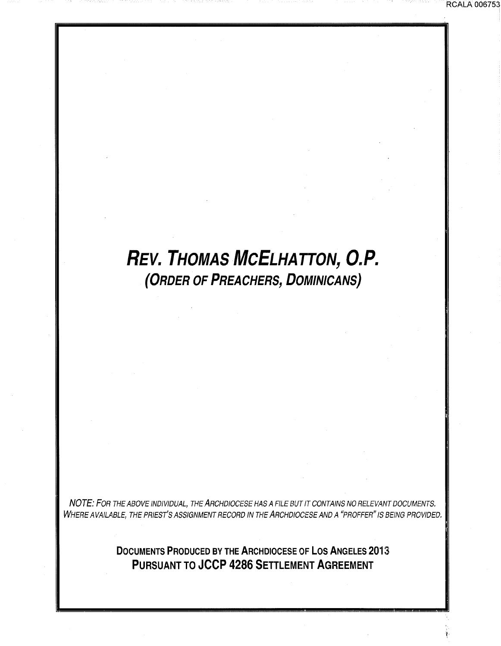## **REV. THOMAS MCELHATTON, O.P. (ORDER OF PREACHERS, DOMINICANS)**

RCALA 006753

NOTE: FOR THE ABOVE INDIVIDUAL, THE ARCHDIOCESE HAS A FILE BUT IT CONTAINS NO RELEVANT DOCUMENTS. WHERE AVAILABLE, THE PRIEST'S ASSIGNMENT RECORD IN THE ARCHDIOCESE AND A "PROFFER" IS BEING PROVIDED.

> **DOCUMENTS PRODUCED BY THE ARCHDIOCESE OF LOS ANGELES 2013 PURSUANT TO JCCP 4286 SETTLEMENT AGREEMENT**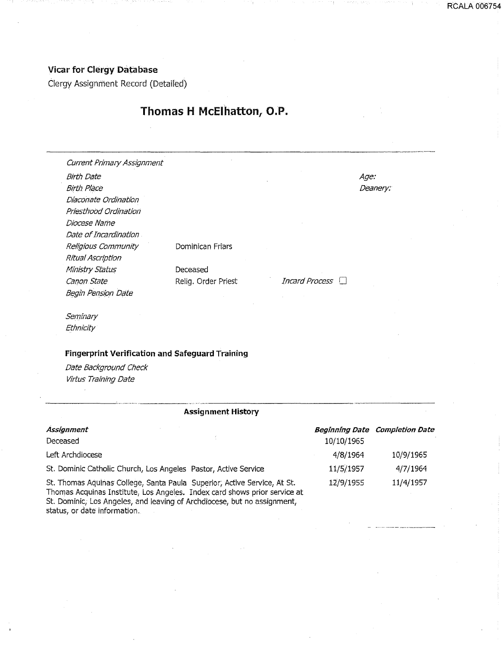## Vicar for Clergy Database

Clergy Assignment Record (Detailed)

## Thomas H McEihatton, O.P.

RCALA 006754

| Current Primary Assignment                             |                     |                       |          |
|--------------------------------------------------------|---------------------|-----------------------|----------|
| <b>Birth Date</b>                                      |                     |                       | Age:     |
| <b>Birth Place</b>                                     |                     |                       | Deanery: |
| Diaconate Ordination                                   |                     |                       |          |
| Priesthood Ordination                                  |                     |                       |          |
| Diocese Name                                           |                     |                       |          |
| Date of Incardination                                  |                     |                       |          |
| Religious Community                                    | Dominican Friars    |                       |          |
| Ritual Ascription                                      |                     |                       |          |
| Ministry Status                                        | Deceased            |                       |          |
| Canon State                                            | Relig. Order Priest | Incard Process $\Box$ |          |
| Begin Pension Date                                     |                     |                       |          |
| Seminary                                               |                     |                       |          |
| Ethnicity                                              |                     |                       |          |
| <b>Fingerprint Verification and Safeguard Training</b> |                     |                       |          |
| Date Background Check                                  |                     |                       |          |
| Virtus Training Date                                   |                     |                       |          |

## -------·"·········· ----- Assignment History

| Assignment                                                                                                                                            |            | <b>Beginning Date Completion Date</b> |
|-------------------------------------------------------------------------------------------------------------------------------------------------------|------------|---------------------------------------|
| Deceased                                                                                                                                              | 10/10/1965 |                                       |
| Left Archdiocese                                                                                                                                      | 4/8/1964   | 10/9/1965                             |
| St. Dominic Catholic Church, Los Angeles Pastor, Active Service                                                                                       | 11/5/1957  | 4/7/1964                              |
| St. Thomas Aquinas College, Santa Paula Superior, Active Service, At St.<br>Thomas Acquinas Institute, Los Angeles. Index card shows prior service at | 12/9/1955  | 11/4/1957                             |

Thomas Acquinas Institute, Los Angeles. Index card shows prior service at St. Dominic, Los Angeles, and leaving of Archdiocese, but no assignment, status, or date information.